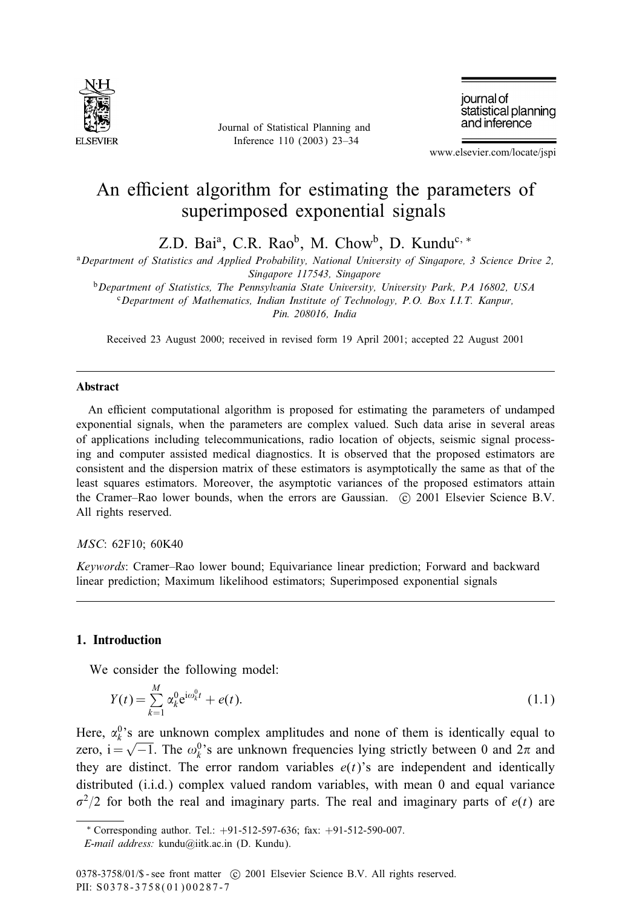

Journal of Statistical Planning and Inference 110 (2003) 23–34

journal of statistical planning and inference

www.elsevier.com/locate/jspi

# An efficient algorithm for estimating the parameters of superimposed exponential signals

Z.D. Bai<sup>a</sup>, C.R. Rao<sup>b</sup>, M. Chow<sup>b</sup>, D. Kundu<sup>c, \*</sup>

<sup>a</sup>*Department of Statistics and Applied Probability, National University of Singapore, 3 Science Drive 2, Singapore 117543, Singapore*

<sup>b</sup>*Department of Statistics, The Pennsylvania State University, University Park, PA 16802, USA* <sup>c</sup>*Department of Mathematics, Indian Institute of Technology, P.O. Box I.I.T. Kanpur,*

*Pin. 208016, India*

Received 23 August 2000; received in revised form 19 April 2001; accepted 22 August 2001

#### Abstract

An efficient computational algorithm is proposed for estimating the parameters of undamped exponential signals, when the parameters are complex valued. Such data arise in several areas of applications including telecommunications, radio location of objects, seismic signal processing and computer assisted medical diagnostics. It is observed that the proposed estimators are consistent and the dispersion matrix of these estimators is asymptotically the same as that of the least squares estimators. Moreover, the asymptotic variances of the proposed estimators attain the Cramer–Rao lower bounds, when the errors are Gaussian. (c) 2001 Elsevier Science B.V. All rights reserved.

#### *MSC*: 62F10; 60K40

*Keywords*: Cramer–Rao lower bound; Equivariance linear prediction; Forward and backward linear prediction; Maximum likelihood estimators; Superimposed exponential signals

# 1. Introduction

We consider the following model:

$$
Y(t) = \sum_{k=1}^{M} \alpha_k^0 e^{i\omega_k^0 t} + e(t).
$$
 (1.1)

Here,  $\alpha_k^0$ 's are unknown complex amplitudes and none of them is identically equal to zero,  $i = \sqrt{-1}$ . The  $\omega_k^0$ 's are unknown frequencies lying strictly between 0 and  $2\pi$  and they are distinct. The error random variables  $e(t)$ 's are independent and identically distributed (i.i.d.) complex valued random variables, with mean 0 and equal variance  $\sigma^2/2$  for both the real and imaginary parts. The real and imaginary parts of  $e(t)$  are

<sup>∗</sup> Corresponding author. Tel.: +91-512-597-636; fax: +91-512-590-007. *E-mail address:* kundu@iitk.ac.in (D. Kundu).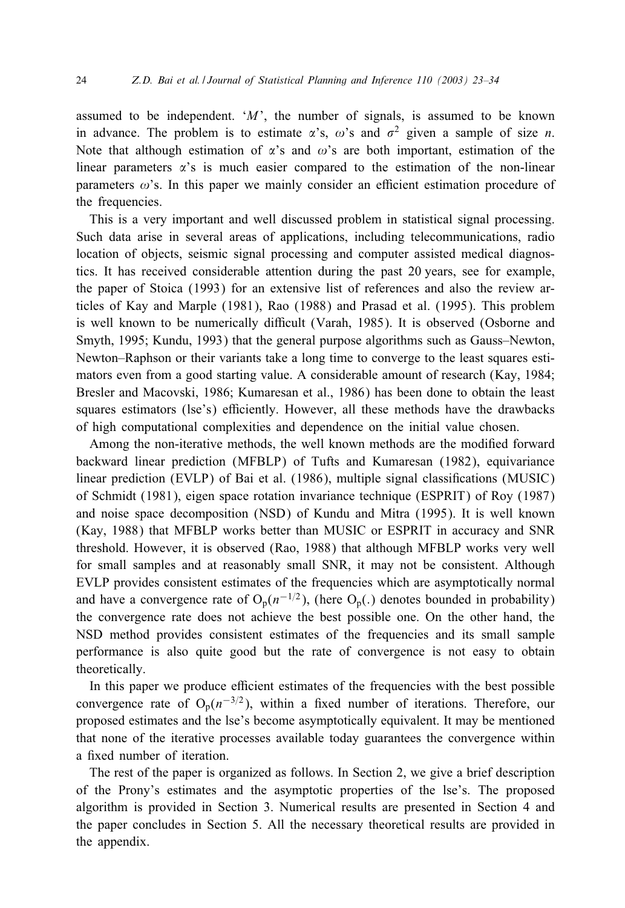assumed to be independent.  $M'$ , the number of signals, is assumed to be known in advance. The problem is to estimate  $\alpha$ 's,  $\omega$ 's and  $\sigma^2$  given a sample of size *n*. Note that although estimation of  $\alpha$ 's and  $\omega$ 's are both important, estimation of the linear parameters  $\alpha$ 's is much easier compared to the estimation of the non-linear parameters  $\omega$ 's. In this paper we mainly consider an efficient estimation procedure of the frequencies.

This is a very important and well discussed problem in statistical signal processing. Such data arise in several areas of applications, including telecommunications, radio location of objects, seismic signal processing and computer assisted medical diagnostics. It has received considerable attention during the past 20 years, see for example, the paper of Stoica (1993) for an extensive list of references and also the review articles of Kay and Marple (1981), Rao (1988) and Prasad et al. (1995). This problem is well known to be numerically difficult (Varah, 1985). It is observed (Osborne and Smyth, 1995; Kundu, 1993) that the general purpose algorithms such as Gauss–Newton, Newton–Raphson or their variants take a long time to converge to the least squares estimators even from a good starting value. A considerable amount of research (Kay, 1984; Bresler and Macovski, 1986; Kumaresan et al., 1986) has been done to obtain the least squares estimators (lse's) efficiently. However, all these methods have the drawbacks of high computational complexities and dependence on the initial value chosen.

Among the non-iterative methods, the well known methods are the modified forward backward linear prediction (MFBLP) of Tufts and Kumaresan (1982), equivariance linear prediction (EVLP) of Bai et al.  $(1986)$ , multiple signal classifications (MUSIC) of Schmidt (1981), eigen space rotation invariance technique (ESPRIT) of Roy (1987) and noise space decomposition (NSD) of Kundu and Mitra (1995). It is well known (Kay, 1988) that MFBLP works better than MUSIC or ESPRIT in accuracy and SNR threshold. However, it is observed (Rao, 1988) that although MFBLP works very well for small samples and at reasonably small SNR, it may not be consistent. Although EVLP provides consistent estimates of the frequencies which are asymptotically normal and have a convergence rate of  $O_p(n^{-1/2})$ , (here  $O_p(.)$ ) denotes bounded in probability) the convergence rate does not achieve the best possible one. On the other hand, the NSD method provides consistent estimates of the frequencies and its small sample performance is also quite good but the rate of convergence is not easy to obtain theoretically.

In this paper we produce efficient estimates of the frequencies with the best possible convergence rate of  $O_p(n^{-3/2})$ , within a fixed number of iterations. Therefore, our proposed estimates and the lse's become asymptotically equivalent. It may be mentioned that none of the iterative processes available today guarantees the convergence within a fixed number of iteration.

The rest of the paper is organized as follows. In Section 2, we give a brief description of the Prony's estimates and the asymptotic properties of the lse's. The proposed algorithm is provided in Section 3. Numerical results are presented in Section 4 and the paper concludes in Section 5. All the necessary theoretical results are provided in the appendix.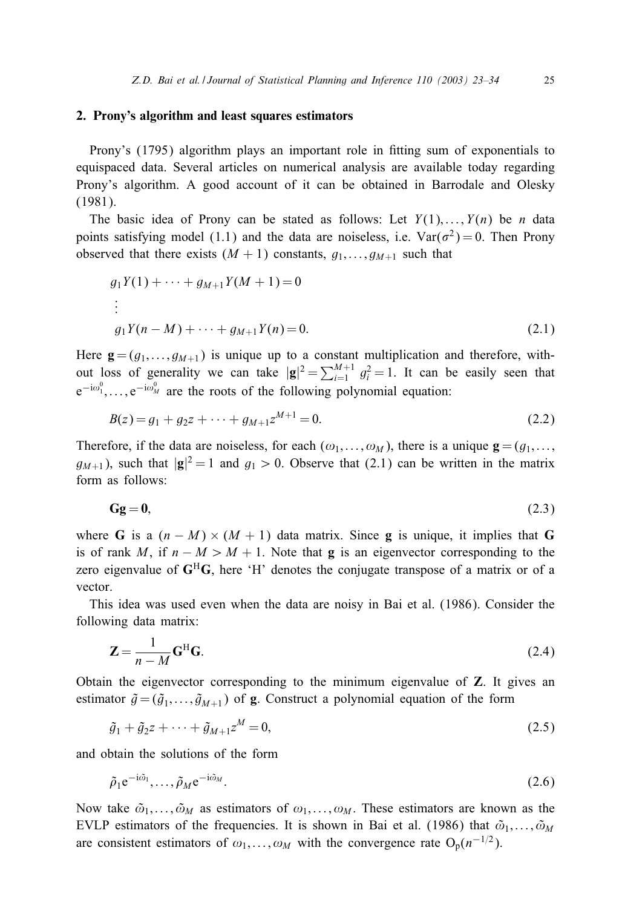#### 2. Prony's algorithm and least squares estimators

Prony's (1795) algorithm plays an important role in fitting sum of exponentials to equispaced data. Several articles on numerical analysis are available today regarding Prony's algorithm. A good account of it can be obtained in Barrodale and Olesky (1981).

The basic idea of Prony can be stated as follows: Let  $Y(1),...,Y(n)$  be n data points satisfying model (1.1) and the data are noiseless, i.e.  $\text{Var}(\sigma^2) = 0$ . Then Prony observed that there exists  $(M + 1)$  constants,  $g_1, \ldots, g_{M+1}$  such that

$$
g_1 Y(1) + \dots + g_{M+1} Y(M+1) = 0
$$
  
\n
$$
\vdots
$$
  
\n
$$
g_1 Y(n-M) + \dots + g_{M+1} Y(n) = 0.
$$
\n(2.1)

Here  $\mathbf{g} = (g_1, \ldots, g_{M+1})$  is unique up to a constant multiplication and therefore, without loss of generality we can take  $|\mathbf{g}|^2 = \sum_{i=1}^{M+1} g_i^2 = 1$ . It can be easily seen that  $e^{-i\omega_1^0}, \ldots, e^{-i\omega_M^0}$  are the roots of the following polynomial equation:

$$
B(z) = g_1 + g_2 z + \dots + g_{M+1} z^{M+1} = 0.
$$
\n(2.2)

Therefore, if the data are noiseless, for each  $(\omega_1,\ldots,\omega_M)$ , there is a unique  $\mathbf{g} = (g_1,\ldots,g_M)$  $g_{M+1}$ ), such that  $|\mathbf{g}|^2 = 1$  and  $g_1 > 0$ . Observe that (2.1) can be written in the matrix form as follows:

$$
Gg = 0,\t(2.3)
$$

where G is a  $(n - M) \times (M + 1)$  data matrix. Since g is unique, it implies that G is of rank M, if  $n - M > M + 1$ . Note that **g** is an eigenvector corresponding to the zero eigenvalue of  $G<sup>H</sup>G$ , here 'H' denotes the conjugate transpose of a matrix or of a vector.

This idea was used even when the data are noisy in Bai et al. (1986). Consider the following data matrix:

$$
\mathbf{Z} = \frac{1}{n - M} \mathbf{G}^{\mathrm{H}} \mathbf{G}.
$$
 (2.4)

Obtain the eigenvector corresponding to the minimum eigenvalue of Z. It gives an estimator  $\tilde{g} = (\tilde{g}_1, \ldots, \tilde{g}_{M+1})$  of g. Construct a polynomial equation of the form

$$
\tilde{g}_1 + \tilde{g}_2 z + \dots + \tilde{g}_{M+1} z^M = 0, \tag{2.5}
$$

and obtain the solutions of the form

$$
\tilde{\rho}_1 e^{-i\tilde{\omega}_1}, \dots, \tilde{\rho}_M e^{-i\tilde{\omega}_M}.
$$
\n(2.6)

Now take  $\tilde{\omega}_1,\ldots,\tilde{\omega}_M$  as estimators of  $\omega_1,\ldots,\omega_M$ . These estimators are known as the EVLP estimators of the frequencies. It is shown in Bai et al. (1986) that  $\tilde{\omega}_1,\ldots,\tilde{\omega}_M$ are consistent estimators of  $\omega_1,\ldots,\omega_M$  with the convergence rate O<sub>p</sub>(n<sup>-1/2</sup>).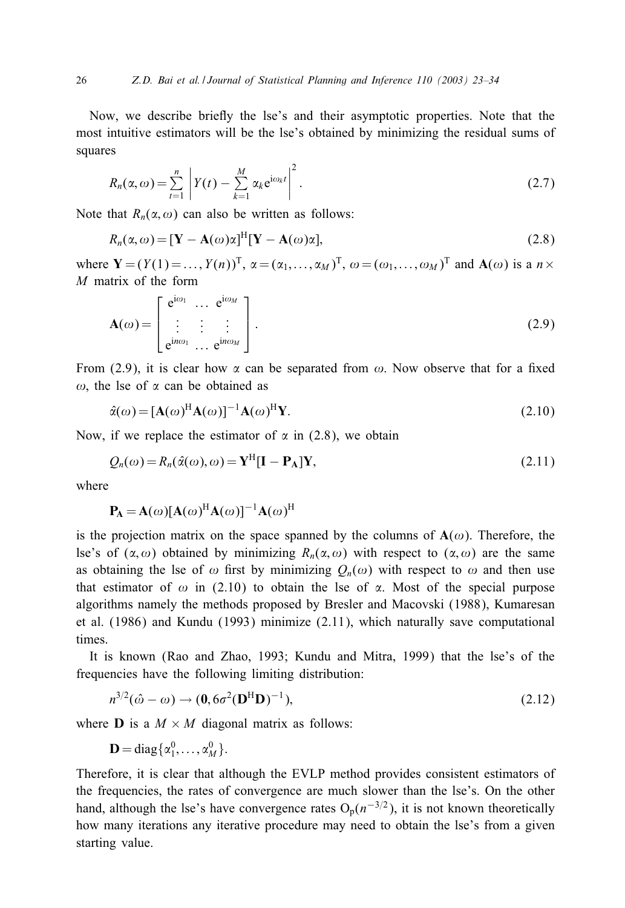Now, we describe briefly the lse's and their asymptotic properties. Note that the most intuitive estimators will be the lse's obtained by minimizing the residual sums of squares

$$
R_n(\alpha,\omega) = \sum_{t=1}^n \left| Y(t) - \sum_{k=1}^M \alpha_k e^{i\omega_k t} \right|^2.
$$
 (2.7)

Note that  $R_n(\alpha,\omega)$  can also be written as follows:

$$
R_n(\alpha,\omega) = [\mathbf{Y} - \mathbf{A}(\omega)\alpha]^{\mathrm{H}}[\mathbf{Y} - \mathbf{A}(\omega)\alpha],
$$
\n(2.8)

where  $\mathbf{Y} = (Y(1) = \dots, Y(n))^\text{T}$ ,  $\alpha = (\alpha_1, \dots, \alpha_M)^\text{T}$ ,  $\omega = (\omega_1, \dots, \omega_M)^\text{T}$  and  $\mathbf{A}(\omega)$  is a  $n \times$ M matrix of the form

$$
\mathbf{A}(\omega) = \begin{bmatrix} e^{i\omega_1} & \cdots & e^{i\omega_M} \\ \vdots & \vdots & \vdots \\ e^{i n\omega_1} & \cdots & e^{i n\omega_M} \end{bmatrix} .
$$
 (2.9)

From (2.9), it is clear how  $\alpha$  can be separated from  $\omega$ . Now observe that for a fixed  $\omega$ , the lse of  $\alpha$  can be obtained as

$$
\hat{\alpha}(\omega) = [\mathbf{A}(\omega)^{\mathrm{H}} \mathbf{A}(\omega)]^{-1} \mathbf{A}(\omega)^{\mathrm{H}} \mathbf{Y}.
$$
\n(2.10)

Now, if we replace the estimator of  $\alpha$  in (2.8), we obtain

$$
Q_n(\omega) = R_n(\hat{\alpha}(\omega), \omega) = \mathbf{Y}^{\mathrm{H}} [\mathbf{I} - \mathbf{P}_{\mathrm{A}}] \mathbf{Y},\tag{2.11}
$$

where

$$
\mathbf{P}_{\mathbf{A}} = \mathbf{A}(\omega)[\mathbf{A}(\omega)^{\mathrm{H}}\mathbf{A}(\omega)]^{-1}\mathbf{A}(\omega)^{\mathrm{H}}
$$

is the projection matrix on the space spanned by the columns of  $A(\omega)$ . Therefore, the lse's of  $(\alpha, \omega)$  obtained by minimizing  $R_n(\alpha, \omega)$  with respect to  $(\alpha, \omega)$  are the same as obtaining the lse of  $\omega$  first by minimizing  $Q_n(\omega)$  with respect to  $\omega$  and then use that estimator of  $\omega$  in (2.10) to obtain the lse of  $\alpha$ . Most of the special purpose algorithms namely the methods proposed by Bresler and Macovski (1988), Kumaresan et al. (1986) and Kundu (1993) minimize (2.11), which naturally save computational times.

It is known (Rao and Zhao, 1993; Kundu and Mitra, 1999) that the lse's of the frequencies have the following limiting distribution:

$$
n^{3/2}(\hat{\omega} - \omega) \to (0, 6\sigma^2 (\mathbf{D}^{\mathrm{H}} \mathbf{D})^{-1}), \tag{2.12}
$$

where **D** is a  $M \times M$  diagonal matrix as follows:

$$
\mathbf{D} = \mathrm{diag}\{\alpha_1^0,\ldots,\alpha_M^0\}.
$$

Therefore, it is clear that although the EVLP method provides consistent estimators of the frequencies, the rates of convergence are much slower than the lse's. On the other hand, although the lse's have convergence rates  $O_p(n^{-3/2})$ , it is not known theoretically how many iterations any iterative procedure may need to obtain the lse's from a given starting value.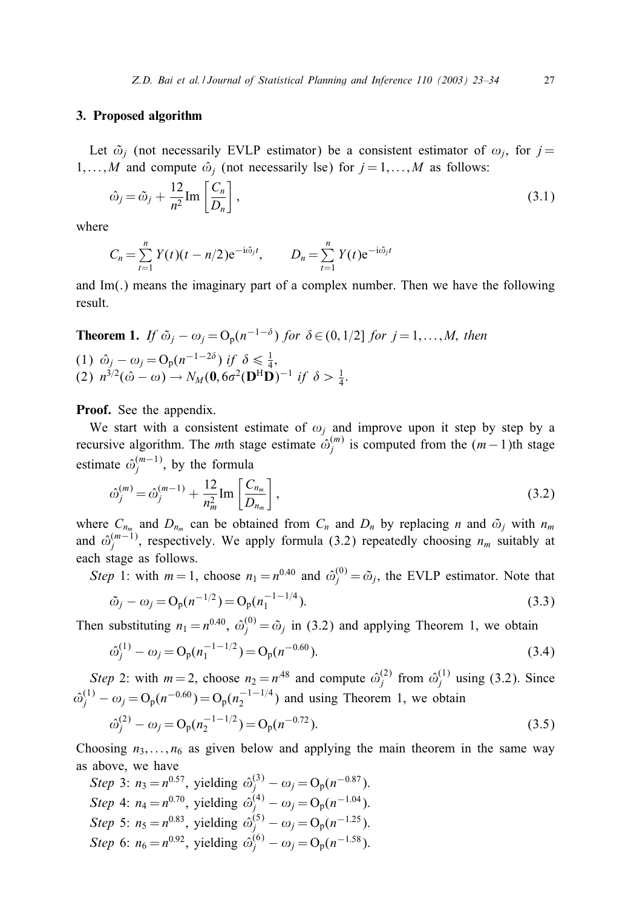### 3. Proposed algorithm

Let  $\tilde{\omega}_i$  (not necessarily EVLP estimator) be a consistent estimator of  $\omega_i$ , for  $j =$ 1,..., M and compute  $\hat{\omega}_i$  (not necessarily lse) for  $j = 1, \ldots, M$  as follows:

$$
\hat{\omega}_j = \tilde{\omega}_j + \frac{12}{n^2} \text{Im} \left[ \frac{C_n}{D_n} \right],\tag{3.1}
$$

where

$$
C_n = \sum_{t=1}^n Y(t)(t - n/2)e^{-i\tilde{\omega}_j t}, \qquad D_n = \sum_{t=1}^n Y(t)e^{-i\tilde{\omega}_j t}
$$

and  $Im(.)$  means the imaginary part of a complex number. Then we have the following result.

**Theorem 1.** If 
$$
\tilde{\omega}_j - \omega_j = O_p(n^{-1-\delta})
$$
 for  $\delta \in (0, 1/2]$  for  $j = 1, ..., M$ , then  
\n(1)  $\hat{\omega}_j - \omega_j = O_p(n^{-1-2\delta})$  if  $\delta \le \frac{1}{4}$ ,  
\n(2)  $n^{3/2}(\hat{\omega} - \omega) \rightarrow N_M(\mathbf{0}, 6\sigma^2(\mathbf{D}^H \mathbf{D})^{-1}$  if  $\delta > \frac{1}{4}$ .

Proof. See the appendix.

We start with a consistent estimate of  $\omega_i$  and improve upon it step by step by a recursive algorithm. The *m*th stage estimate  $\hat{\omega}_i^{(m)}$  is computed from the  $(m-1)$ th stage estimate  $\hat{\omega}_j^{(m-1)}$ , by the formula

$$
\hat{\omega}_{j}^{(m)} = \hat{\omega}_{j}^{(m-1)} + \frac{12}{n_m^2} \text{Im} \left[ \frac{C_{n_m}}{D_{n_m}} \right],
$$
\n(3.2)

where  $C_{n_m}$  and  $D_{n_m}$  can be obtained from  $C_n$  and  $D_n$  by replacing n and  $\tilde{\omega}_j$  with  $n_m$ and  $\hat{\omega}_j^{(m-1)}$ , respectively. We apply formula (3.2) repeatedly choosing  $n_m$  suitably at each stage as follows.

*Step* 1: with  $m = 1$ , choose  $n_1 = n^{0.40}$  and  $\hat{\omega}_i^{(0)} = \tilde{\omega}_j$ , the EVLP estimator. Note that

$$
\tilde{\omega}_j - \omega_j = O_p(n^{-1/2}) = O_p(n_1^{-1-1/4}).
$$
\n(3.3)

Then substituting  $n_1 = n^{0.40}$ ,  $\hat{\omega}_i^{(0)} = \tilde{\omega}_j$  in (3.2) and applying Theorem 1, we obtain

$$
\hat{\omega}_j^{(1)} - \omega_j = O_p(n_1^{-1-1/2}) = O_p(n^{-0.60}).
$$
\n(3.4)

*Step* 2: with  $m = 2$ , choose  $n_2 = n^{48}$  and compute  $\hat{\omega}_i^{(2)}$  from  $\hat{\omega}_i^{(1)}$  using (3.2). Since  $\hat{\omega}_j^{(1)} - \omega_j = O_p(n^{-0.60}) = O_p(n_2^{-1-1/4})$  and using Theorem 1, we obtain  $\hat{\omega}_j^{(2)} - \omega_j = O_p(n_2^{-1-1/2}) = O_p(n^{-0.72}).$ (3.5)

Choosing  $n_3$ ,...,  $n_6$  as given below and applying the main theorem in the same way as above, we have

Step 3: 
$$
n_3 = n^{0.57}
$$
, yielding  $\hat{\omega}_j^{(3)} - \omega_j = O_p(n^{-0.87})$ .  
\nStep 4:  $n_4 = n^{0.70}$ , yielding  $\hat{\omega}_j^{(4)} - \omega_j = O_p(n^{-1.04})$ .  
\nStep 5:  $n_5 = n^{0.83}$ , yielding  $\hat{\omega}_j^{(5)} - \omega_j = O_p(n^{-1.25})$ .  
\nStep 6:  $n_6 = n^{0.92}$ , yielding  $\hat{\omega}_j^{(6)} - \omega_j = O_p(n^{-1.58})$ .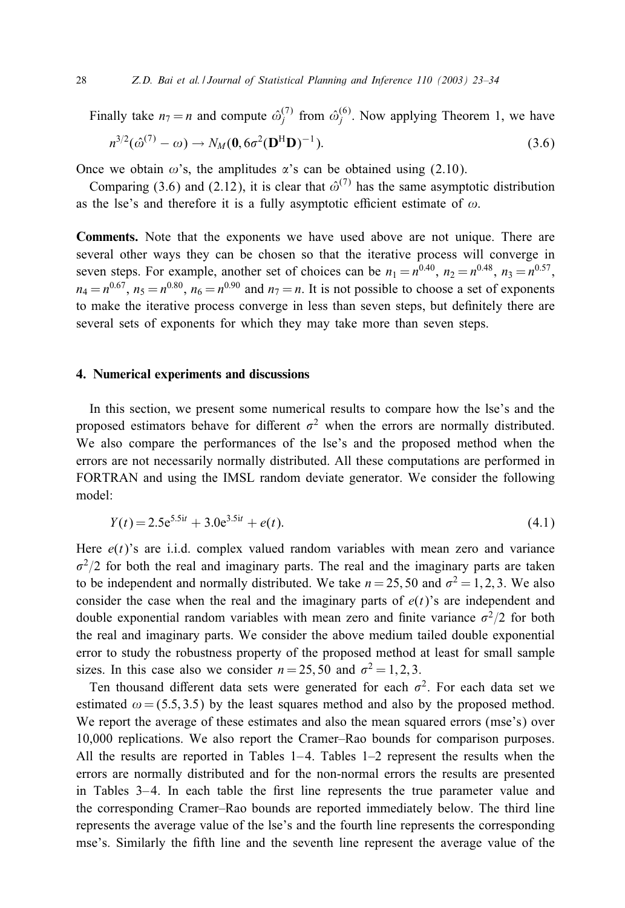Finally take  $n_7 = n$  and compute  $\hat{\omega}_j^{(7)}$  from  $\hat{\omega}_j^{(6)}$ . Now applying Theorem 1, we have  $n^{3/2}(\hat{\omega}^{(7)} - \omega) \rightarrow N_M(\mathbf{0}, 6\sigma^2(\mathbf{D}^{\mathrm{H}}\mathbf{D})^{-1})$  $(3.6)$ 

Once we obtain  $\omega$ 's, the amplitudes  $\alpha$ 's can be obtained using (2.10).

Comparing (3.6) and (2.12), it is clear that  $\hat{\omega}^{(7)}$  has the same asymptotic distribution as the lse's and therefore it is a fully asymptotic efficient estimate of  $\omega$ .

Comments. Note that the exponents we have used above are not unique. There are several other ways they can be chosen so that the iterative process will converge in seven steps. For example, another set of choices can be  $n_1 = n^{0.40}$ ,  $n_2 = n^{0.48}$ ,  $n_3 = n^{0.57}$ ,  $n_4 = n^{0.67}$ ,  $n_5 = n^{0.80}$ ,  $n_6 = n^{0.90}$  and  $n_7 = n$ . It is not possible to choose a set of exponents to make the iterative process converge in less than seven steps, but definitely there are several sets of exponents for which they may take more than seven steps.

# 4. Numerical experiments and discussions

In this section, we present some numerical results to compare how the lse's and the proposed estimators behave for different  $\sigma^2$  when the errors are normally distributed. We also compare the performances of the lse's and the proposed method when the errors are not necessarily normally distributed. All these computations are performed in FORTRAN and using the IMSL random deviate generator. We consider the following model:

$$
Y(t) = 2.5e^{5.5it} + 3.0e^{3.5it} + e(t).
$$
\n(4.1)

Here  $e(t)$ 's are i.i.d. complex valued random variables with mean zero and variance  $\sigma^2/2$  for both the real and imaginary parts. The real and the imaginary parts are taken to be independent and normally distributed. We take  $n = 25, 50$  and  $\sigma^2 = 1, 2, 3$ . We also consider the case when the real and the imaginary parts of  $e(t)$ 's are independent and double exponential random variables with mean zero and finite variance  $\sigma^2/2$  for both the real and imaginary parts. We consider the above medium tailed double exponential error to study the robustness property of the proposed method at least for small sample sizes. In this case also we consider  $n = 25, 50$  and  $\sigma^2 = 1, 2, 3$ .

Ten thousand different data sets were generated for each  $\sigma^2$ . For each data set we estimated  $\omega = (5.5, 3.5)$  by the least squares method and also by the proposed method. We report the average of these estimates and also the mean squared errors (mse's) over 10,000 replications. We also report the Cramer–Rao bounds for comparison purposes. All the results are reported in Tables  $1-4$ . Tables  $1-2$  represent the results when the errors are normally distributed and for the non-normal errors the results are presented in Tables  $3-4$ . In each table the first line represents the true parameter value and the corresponding Cramer–Rao bounds are reported immediately below. The third line represents the average value of the lse's and the fourth line represents the corresponding mse's. Similarly the fifth line and the seventh line represent the average value of the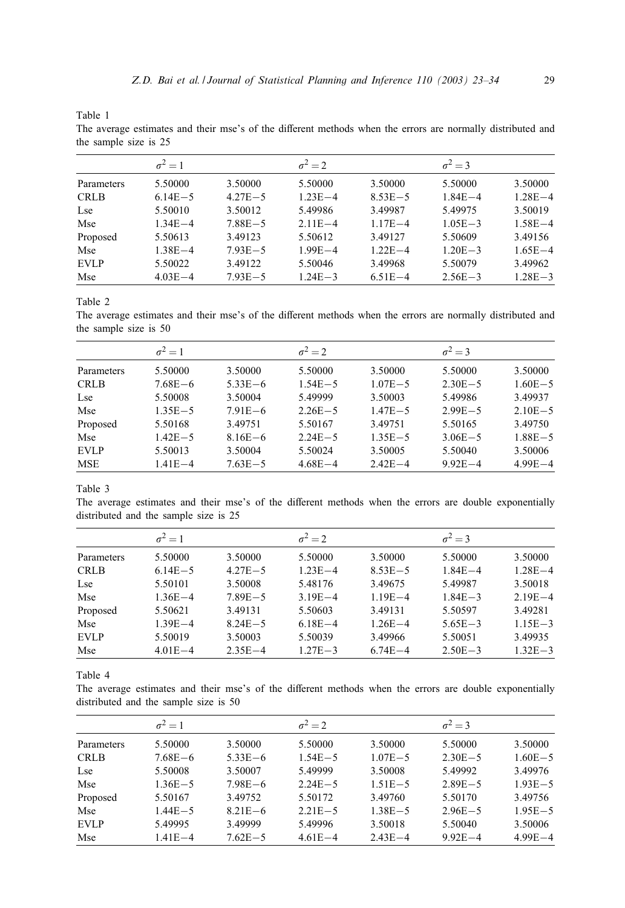The average estimates and their mse's of the different methods when the errors are normally distributed and the sample size is 25

|             | $\sigma^2 = 1$ |             | $\sigma^2 = 2$ |             | $\sigma^2 = 3$ |             |
|-------------|----------------|-------------|----------------|-------------|----------------|-------------|
| Parameters  | 5.50000        | 3.50000     | 5.50000        | 3.50000     | 5.50000        | 3.50000     |
| <b>CRLB</b> | $6.14E - 5$    | $4.27E - 5$ | $1.23E - 4$    | $8.53E - 5$ | $1.84E - 4$    | $1.28E - 4$ |
| Lse         | 5.50010        | 3.50012     | 5.49986        | 3.49987     | 5.49975        | 3.50019     |
| Mse         | $1.34E - 4$    | $7.88E - 5$ | $2.11E - 4$    | $1.17E - 4$ | $1.05E - 3$    | $1.58E - 4$ |
| Proposed    | 5.50613        | 3.49123     | 5.50612        | 3.49127     | 5.50609        | 3.49156     |
| Mse         | $1.38E - 4$    | $7.93E - 5$ | $1.99E - 4$    | $1.22E - 4$ | $1.20E - 3$    | $1.65E - 4$ |
| <b>EVLP</b> | 5.50022        | 3.49122     | 5.50046        | 3.49968     | 5.50079        | 3.49962     |
| Mse         | $4.03E - 4$    | $7.93E - 5$ | $1.24E - 3$    | $6.51E - 4$ | $2.56E - 3$    | $1.28E - 3$ |

Table 2

The average estimates and their mse's of the different methods when the errors are normally distributed and the sample size is 50

|             | $\sigma^2 = 1$ |             | $\sigma^2 = 2$ |             | $\sigma^2 = 3$ |             |
|-------------|----------------|-------------|----------------|-------------|----------------|-------------|
| Parameters  | 5.50000        | 3.50000     | 5.50000        | 3.50000     | 5.50000        | 3.50000     |
| <b>CRLB</b> | $7.68E - 6$    | $5.33E - 6$ | $1.54E - 5$    | $1.07E - 5$ | $2.30E - 5$    | $1.60E - 5$ |
| Lse         | 5.50008        | 3.50004     | 5.49999        | 3.50003     | 5.49986        | 3.49937     |
| Mse         | $1.35E - 5$    | $7.91E - 6$ | $2.26E - 5$    | $1.47E - 5$ | $2.99E - 5$    | $2.10E - 5$ |
| Proposed    | 5.50168        | 3.49751     | 5.50167        | 3.49751     | 5.50165        | 3.49750     |
| Mse         | $1.42E - 5$    | $8.16E - 6$ | $2.24E - 5$    | $1.35E - 5$ | $3.06E - 5$    | $1.88E - 5$ |
| <b>EVLP</b> | 5.50013        | 3.50004     | 5.50024        | 3.50005     | 5.50040        | 3.50006     |
| <b>MSE</b>  | $1.41E - 4$    | $7.63E - 5$ | $4.68E - 4$    | $2.42E - 4$ | $9.92E - 4$    | $4.99E - 4$ |

Table 3

The average estimates and their mse's of the different methods when the errors are double exponentially distributed and the sample size is 25

|             | $\sigma^2 = 1$ |             | $\sigma^2 = 2$ |             | $\sigma^2 = 3$ |             |
|-------------|----------------|-------------|----------------|-------------|----------------|-------------|
| Parameters  | 5.50000        | 3.50000     | 5.50000        | 3.50000     | 5.50000        | 3.50000     |
| <b>CRLB</b> | $6.14E - 5$    | $4.27E - 5$ | $1.23E - 4$    | $8.53E - 5$ | $1.84E - 4$    | $1.28E - 4$ |
| Lse         | 5.50101        | 3.50008     | 5.48176        | 3.49675     | 5.49987        | 3.50018     |
| Mse         | $1.36E - 4$    | $7.89E - 5$ | $3.19E - 4$    | $1.19E - 4$ | $1.84E - 3$    | $2.19E - 4$ |
| Proposed    | 5.50621        | 3.49131     | 5.50603        | 3.49131     | 5.50597        | 3.49281     |
| Mse         | $1.39E - 4$    | $8.24E - 5$ | $6.18E - 4$    | $1.26E - 4$ | $5.65E - 3$    | $1.15E - 3$ |
| <b>EVLP</b> | 5.50019        | 3.50003     | 5.50039        | 3.49966     | 5.50051        | 3.49935     |
| Mse         | $4.01E - 4$    | $2.35E - 4$ | $1.27E - 3$    | $6.74E - 4$ | $2.50E - 3$    | $1.32E - 3$ |

Table 4

The average estimates and their mse's of the different methods when the errors are double exponentially distributed and the sample size is 50

|             | $\sigma^2 = 1$ |             | $\sigma^2 = 2$ |             | $\sigma^2 = 3$ |             |
|-------------|----------------|-------------|----------------|-------------|----------------|-------------|
| Parameters  | 5.50000        | 3.50000     | 5.50000        | 3.50000     | 5.50000        | 3.50000     |
| <b>CRLB</b> | $7.68E - 6$    | $5.33E - 6$ | $1.54E - 5$    | $1.07E - 5$ | $2.30E - 5$    | $1.60E - 5$ |
| Lse         | 5.50008        | 3.50007     | 5.49999        | 3.50008     | 5.49992        | 3.49976     |
| Mse         | $1.36E - 5$    | $7.98E - 6$ | $2.24E - 5$    | $1.51E - 5$ | $2.89E - 5$    | $1.93E - 5$ |
| Proposed    | 5.50167        | 3.49752     | 5.50172        | 3.49760     | 5.50170        | 3.49756     |
| Mse         | $1.44E - 5$    | $8.21E - 6$ | $2.21E - 5$    | $1.38E - 5$ | $2.96E - 5$    | $1.95E - 5$ |
| <b>EVLP</b> | 5.49995        | 3.49999     | 5.49996        | 3.50018     | 5.50040        | 3.50006     |
| Mse         | $1.41E - 4$    | $7.62E - 5$ | $4.61E - 4$    | $2.43E - 4$ | $9.92E - 4$    | $4.99E - 4$ |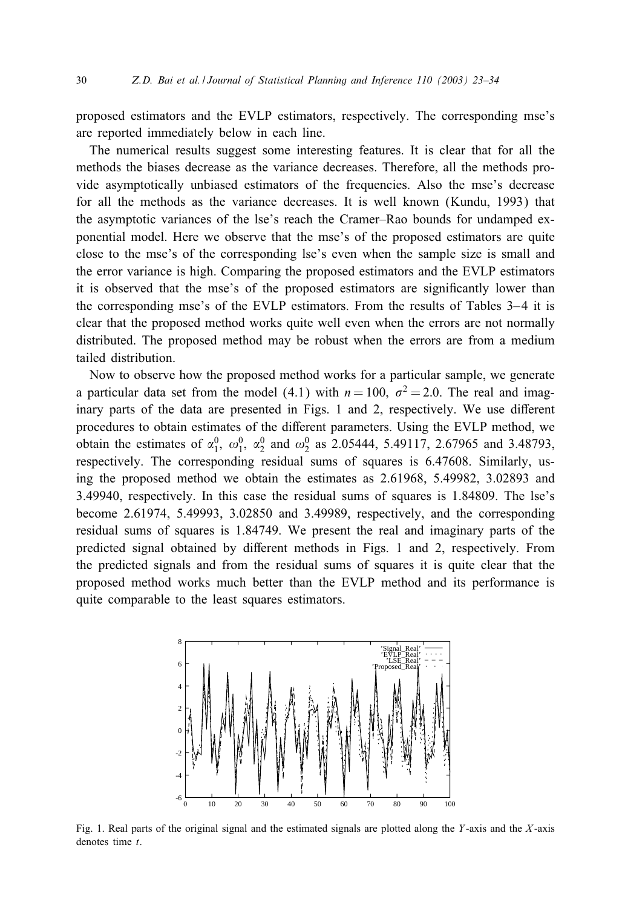proposed estimators and the EVLP estimators, respectively. The corresponding mse's are reported immediately below in each line.

The numerical results suggest some interesting features. It is clear that for all the methods the biases decrease as the variance decreases. Therefore, all the methods provide asymptotically unbiased estimators of the frequencies. Also the mse's decrease for all the methods as the variance decreases. It is well known (Kundu, 1993) that the asymptotic variances of the lse's reach the Cramer–Rao bounds for undamped exponential model. Here we observe that the mse's of the proposed estimators are quite close to the mse's of the corresponding lse's even when the sample size is small and the error variance is high. Comparing the proposed estimators and the EVLP estimators it is observed that the mse's of the proposed estimators are significantly lower than the corresponding mse's of the EVLP estimators. From the results of Tables 3– 4 it is clear that the proposed method works quite well even when the errors are not normally distributed. The proposed method may be robust when the errors are from a medium tailed distribution.

Now to observe how the proposed method works for a particular sample, we generate a particular data set from the model (4.1) with  $n = 100$ ,  $\sigma^2 = 2.0$ . The real and imaginary parts of the data are presented in Figs. 1 and 2, respectively. We use different procedures to obtain estimates of the different parameters. Using the EVLP method, we obtain the estimates of  $\alpha_1^0$ ,  $\omega_1^0$ ,  $\alpha_2^0$  and  $\omega_2^0$  as 2.05444, 5.49117, 2.67965 and 3.48793, respectively. The corresponding residual sums of squares is 6.47608. Similarly, using the proposed method we obtain the estimates as 2.61968, 5.49982, 3.02893 and 3.49940, respectively. In this case the residual sums of squares is 1.84809. The lse's become 2.61974, 5.49993, 3.02850 and 3.49989, respectively, and the corresponding residual sums of squares is 1.84749. We present the real and imaginary parts of the predicted signal obtained by different methods in Figs. 1 and 2, respectively. From the predicted signals and from the residual sums of squares it is quite clear that the proposed method works much better than the EVLP method and its performance is quite comparable to the least squares estimators.



Fig. 1. Real parts of the original signal and the estimated signals are plotted along the Y-axis and the  $X$ -axis denotes time  $t$ .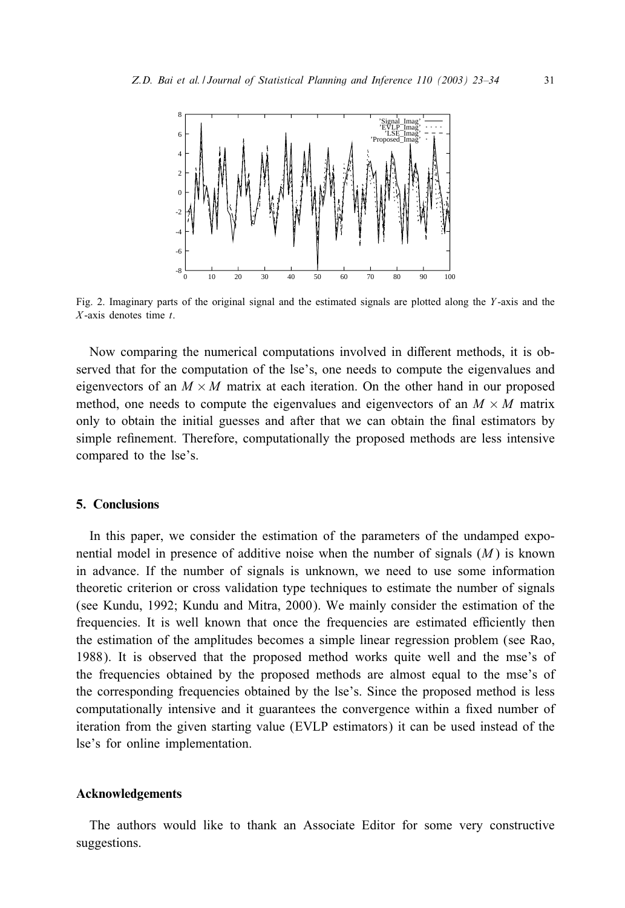

Fig. 2. Imaginary parts of the original signal and the estimated signals are plotted along the Y -axis and the  $X$ -axis denotes time  $t$ .

Now comparing the numerical computations involved in diRerent methods, it is observed that for the computation of the lse's, one needs to compute the eigenvalues and eigenvectors of an  $M \times M$  matrix at each iteration. On the other hand in our proposed method, one needs to compute the eigenvalues and eigenvectors of an  $M \times M$  matrix only to obtain the initial guesses and after that we can obtain the final estimators by simple refinement. Therefore, computationally the proposed methods are less intensive compared to the lse's.

# 5. Conclusions

In this paper, we consider the estimation of the parameters of the undamped exponential model in presence of additive noise when the number of signals  $(M)$  is known in advance. If the number of signals is unknown, we need to use some information theoretic criterion or cross validation type techniques to estimate the number of signals (see Kundu, 1992; Kundu and Mitra, 2000). We mainly consider the estimation of the frequencies. It is well known that once the frequencies are estimated efficiently then the estimation of the amplitudes becomes a simple linear regression problem (see Rao, 1988). It is observed that the proposed method works quite well and the mse's of the frequencies obtained by the proposed methods are almost equal to the mse's of the corresponding frequencies obtained by the lse's. Since the proposed method is less computationally intensive and it guarantees the convergence within a fixed number of iteration from the given starting value (EVLP estimators) it can be used instead of the lse's for online implementation.

# Acknowledgements

The authors would like to thank an Associate Editor for some very constructive suggestions.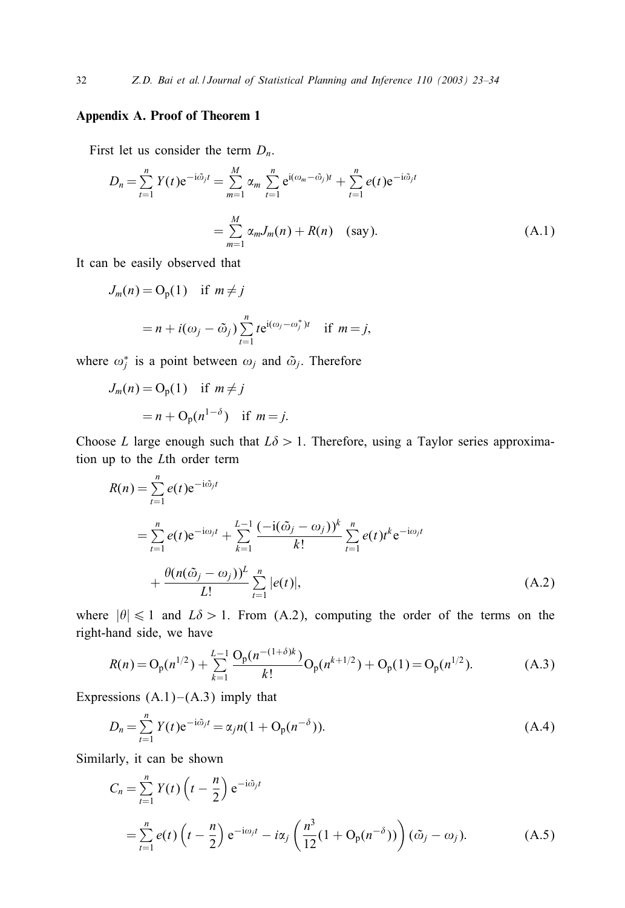# Appendix A. Proof of Theorem 1

First let us consider the term  $D_n$ .

$$
D_n = \sum_{t=1}^n Y(t)e^{-i\tilde{\omega}_jt} = \sum_{m=1}^M \alpha_m \sum_{t=1}^n e^{i(\omega_m - \tilde{\omega}_j)t} + \sum_{t=1}^n e(t)e^{-i\tilde{\omega}_jt}
$$
  
= 
$$
\sum_{m=1}^M \alpha_m J_m(n) + R(n) \quad \text{(say)}.
$$
 (A.1)

It can be easily observed that

$$
J_m(n) = O_p(1) \quad \text{if } m \neq j
$$
  
=  $n + i(\omega_j - \tilde{\omega}_j) \sum_{t=1}^n t e^{i(\omega_j - \omega_j^*)t} \quad \text{if } m = j,$ 

where  $\omega_j^*$  is a point between  $\omega_j$  and  $\tilde{\omega}_j$ . Therefore

$$
J_m(n) = O_p(1) \quad \text{if } m \neq j
$$
  
=  $n + O_p(n^{1-\delta}) \quad \text{if } m = j.$ 

Choose L large enough such that  $L\delta > 1$ . Therefore, using a Taylor series approximation up to the Lth order term

$$
R(n) = \sum_{t=1}^{n} e(t) e^{-i\tilde{\omega}_{j}t}
$$
  
=  $\sum_{t=1}^{n} e(t) e^{-i\omega_{j}t} + \sum_{k=1}^{L-1} \frac{(-i(\tilde{\omega}_{j} - \omega_{j}))^{k}}{k!} \sum_{t=1}^{n} e(t) t^{k} e^{-i\omega_{j}t}$   
+  $\frac{\theta(n(\tilde{\omega}_{j} - \omega_{j}))^{L}}{L!} \sum_{t=1}^{n} |e(t)|,$  (A.2)

where  $|\theta| \le 1$  and  $L\delta > 1$ . From (A.2), computing the order of the terms on the right-hand side, we have

$$
R(n) = O_p(n^{1/2}) + \sum_{k=1}^{L-1} \frac{O_p(n^{-(1+\delta)k})}{k!} O_p(n^{k+1/2}) + O_p(1) = O_p(n^{1/2}).
$$
 (A.3)

Expressions  $(A.1)$ – $(A.3)$  imply that

$$
D_n = \sum_{t=1}^{n} Y(t) e^{-i\tilde{\omega}_j t} = \alpha_j n (1 + O_p(n^{-\delta})).
$$
\n(A.4)

Similarly, it can be shown

$$
C_n = \sum_{t=1}^n Y(t) \left( t - \frac{n}{2} \right) e^{-i\tilde{\omega}_j t}
$$
  
= 
$$
\sum_{t=1}^n e(t) \left( t - \frac{n}{2} \right) e^{-i\omega_j t} - i\alpha_j \left( \frac{n^3}{12} (1 + \mathcal{O}_p(n^{-\delta})) \right) (\tilde{\omega}_j - \omega_j).
$$
 (A.5)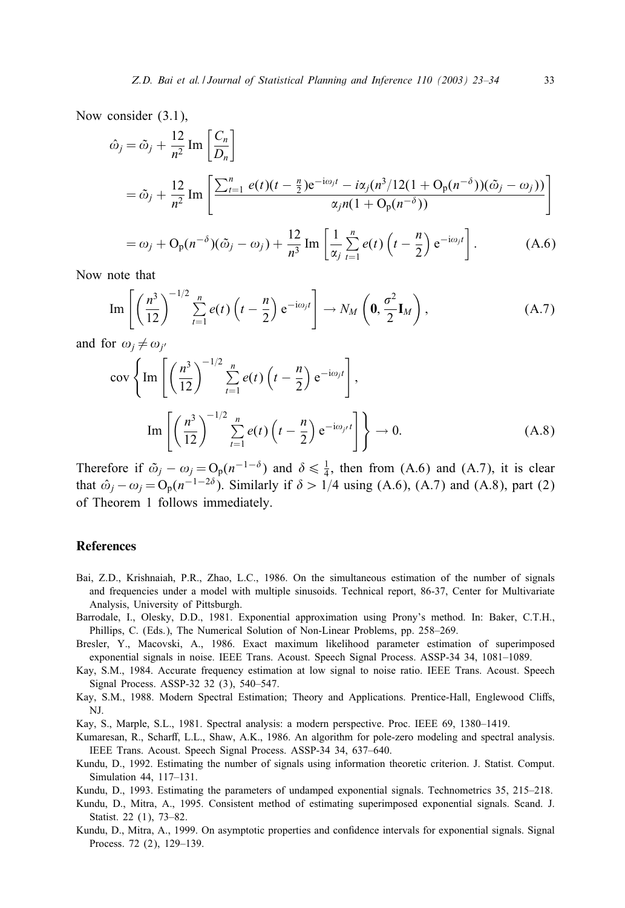Now consider (3.1),

$$
\hat{\omega}_{j} = \tilde{\omega}_{j} + \frac{12}{n^{2}} \operatorname{Im} \left[ \frac{C_{n}}{D_{n}} \right]
$$
  
=  $\tilde{\omega}_{j} + \frac{12}{n^{2}} \operatorname{Im} \left[ \frac{\sum_{t=1}^{n} e(t)(t - \frac{n}{2})e^{-i\omega_{j}t} - i\alpha_{j}(n^{3}/12(1 + O_{p}(n^{-\delta}))(\tilde{\omega}_{j} - \omega_{j}))}{\alpha_{j}n(1 + O_{p}(n^{-\delta}))} \right]$   
=  $\omega_{j} + O_{p}(n^{-\delta})(\tilde{\omega}_{j} - \omega_{j}) + \frac{12}{n^{3}} \operatorname{Im} \left[ \frac{1}{\alpha_{j}} \sum_{t=1}^{n} e(t) \left( t - \frac{n}{2} \right) e^{-i\omega_{j}t} \right].$  (A.6)

Now note that

Im 
$$
\left[ \left( \frac{n^3}{12} \right)^{-1/2} \sum_{t=1}^n e(t) \left( t - \frac{n}{2} \right) e^{-i\omega_j t} \right] \rightarrow N_M \left( \mathbf{0}, \frac{\sigma^2}{2} \mathbf{I}_M \right),
$$
 (A.7)

and for  $\omega_j \neq \omega_{j'}$ 

$$
\operatorname{cov}\left\{\operatorname{Im}\left[\left(\frac{n^3}{12}\right)^{-1/2}\sum_{t=1}^n e(t)\left(t-\frac{n}{2}\right)e^{-i\omega_j t}\right],\right\}
$$

$$
\operatorname{Im}\left[\left(\frac{n^3}{12}\right)^{-1/2}\sum_{t=1}^n e(t)\left(t-\frac{n}{2}\right)e^{-i\omega_j t}\right]\right\} \to 0.
$$
(A.8)

Therefore if  $\tilde{\omega}_j - \omega_j = O_p(n^{-1-\delta})$  and  $\delta \le \frac{1}{4}$ , then from (A.6) and (A.7), it is clear that  $\hat{\omega}_i - \omega_i = O_p(n^{-1-2\delta})$ . Similarly if  $\delta > 1/4$  using (A.6), (A.7) and (A.8), part (2) of Theorem 1 follows immediately.

#### References

- Bai, Z.D., Krishnaiah, P.R., Zhao, L.C., 1986. On the simultaneous estimation of the number of signals and frequencies under a model with multiple sinusoids. Technical report, 86-37, Center for Multivariate Analysis, University of Pittsburgh.
- Barrodale, I., Olesky, D.D., 1981. Exponential approximation using Prony's method. In: Baker, C.T.H., Phillips, C. (Eds.), The Numerical Solution of Non-Linear Problems, pp. 258–269.
- Bresler, Y., Macovski, A., 1986. Exact maximum likelihood parameter estimation of superimposed exponential signals in noise. IEEE Trans. Acoust. Speech Signal Process. ASSP-34 34, 1081–1089.
- Kay, S.M., 1984. Accurate frequency estimation at low signal to noise ratio. IEEE Trans. Acoust. Speech Signal Process. ASSP-32 32 (3), 540–547.
- Kay, S.M., 1988. Modern Spectral Estimation; Theory and Applications. Prentice-Hall, Englewood Cliffs, NJ.
- Kay, S., Marple, S.L., 1981. Spectral analysis: a modern perspective. Proc. IEEE 69, 1380–1419.
- Kumaresan, R., Scharff, L.L., Shaw, A.K., 1986. An algorithm for pole-zero modeling and spectral analysis. IEEE Trans. Acoust. Speech Signal Process. ASSP-34 34, 637–640.
- Kundu, D., 1992. Estimating the number of signals using information theoretic criterion. J. Statist. Comput. Simulation 44, 117–131.
- Kundu, D., 1993. Estimating the parameters of undamped exponential signals. Technometrics 35, 215–218.
- Kundu, D., Mitra, A., 1995. Consistent method of estimating superimposed exponential signals. Scand. J. Statist. 22 (1), 73–82.
- Kundu, D., Mitra, A., 1999. On asymptotic properties and confidence intervals for exponential signals. Signal Process. 72 (2), 129–139.